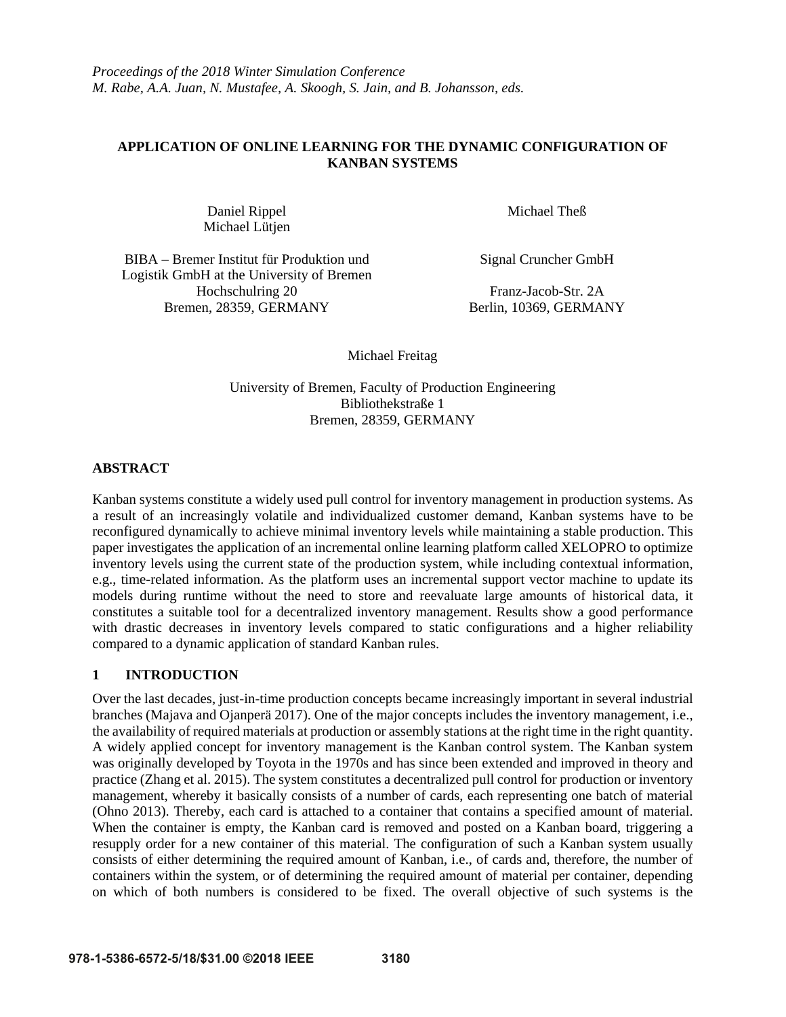# **APPLICATION OF ONLINE LEARNING FOR THE DYNAMIC CONFIGURATION OF KANBAN SYSTEMS**

Daniel Rippel Michael Lütjen Michael Theß

BIBA – Bremer Institut für Produktion und Logistik GmbH at the University of Bremen Hochschulring 20 Franz-Jacob-Str. 2A<br>en, 28359, GERMANY Berlin, 10369, GERMANY Bremen, 28359, GERMANY

Signal Cruncher GmbH

Michael Freitag

University of Bremen, Faculty of Production Engineering Bibliothekstraße 1 Bremen, 28359, GERMANY

# **ABSTRACT**

Kanban systems constitute a widely used pull control for inventory management in production systems. As a result of an increasingly volatile and individualized customer demand, Kanban systems have to be reconfigured dynamically to achieve minimal inventory levels while maintaining a stable production. This paper investigates the application of an incremental online learning platform called XELOPRO to optimize inventory levels using the current state of the production system, while including contextual information, e.g., time-related information. As the platform uses an incremental support vector machine to update its models during runtime without the need to store and reevaluate large amounts of historical data, it constitutes a suitable tool for a decentralized inventory management. Results show a good performance with drastic decreases in inventory levels compared to static configurations and a higher reliability compared to a dynamic application of standard Kanban rules.

# **1 INTRODUCTION**

Over the last decades, just-in-time production concepts became increasingly important in several industrial branches (Majava and Ojanperä 2017). One of the major concepts includes the inventory management, i.e., the availability of required materials at production or assembly stations at the right time in the right quantity. A widely applied concept for inventory management is the Kanban control system. The Kanban system was originally developed by Toyota in the 1970s and has since been extended and improved in theory and practice (Zhang et al. 2015). The system constitutes a decentralized pull control for production or inventory management, whereby it basically consists of a number of cards, each representing one batch of material (Ohno 2013). Thereby, each card is attached to a container that contains a specified amount of material. When the container is empty, the Kanban card is removed and posted on a Kanban board, triggering a resupply order for a new container of this material. The configuration of such a Kanban system usually consists of either determining the required amount of Kanban, i.e., of cards and, therefore, the number of containers within the system, or of determining the required amount of material per container, depending on which of both numbers is considered to be fixed. The overall objective of such systems is the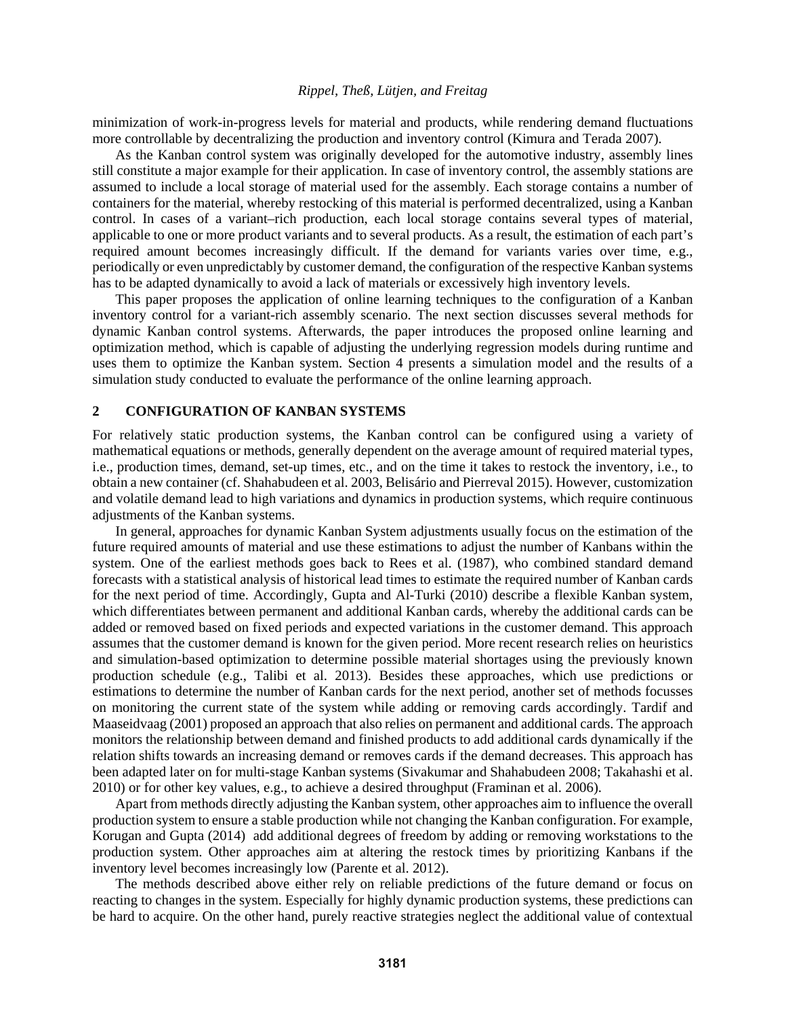minimization of work-in-progress levels for material and products, while rendering demand fluctuations more controllable by decentralizing the production and inventory control (Kimura and Terada 2007).

As the Kanban control system was originally developed for the automotive industry, assembly lines still constitute a major example for their application. In case of inventory control, the assembly stations are assumed to include a local storage of material used for the assembly. Each storage contains a number of containers for the material, whereby restocking of this material is performed decentralized, using a Kanban control. In cases of a variant–rich production, each local storage contains several types of material, applicable to one or more product variants and to several products. As a result, the estimation of each part's required amount becomes increasingly difficult. If the demand for variants varies over time, e.g., periodically or even unpredictably by customer demand, the configuration of the respective Kanban systems has to be adapted dynamically to avoid a lack of materials or excessively high inventory levels.

This paper proposes the application of online learning techniques to the configuration of a Kanban inventory control for a variant-rich assembly scenario. The next section discusses several methods for dynamic Kanban control systems. Afterwards, the paper introduces the proposed online learning and optimization method, which is capable of adjusting the underlying regression models during runtime and uses them to optimize the Kanban system. Section 4 presents a simulation model and the results of a simulation study conducted to evaluate the performance of the online learning approach.

## **2 CONFIGURATION OF KANBAN SYSTEMS**

For relatively static production systems, the Kanban control can be configured using a variety of mathematical equations or methods, generally dependent on the average amount of required material types, i.e., production times, demand, set-up times, etc., and on the time it takes to restock the inventory, i.e., to obtain a new container (cf. Shahabudeen et al. 2003, Belisário and Pierreval 2015). However, customization and volatile demand lead to high variations and dynamics in production systems, which require continuous adjustments of the Kanban systems.

In general, approaches for dynamic Kanban System adjustments usually focus on the estimation of the future required amounts of material and use these estimations to adjust the number of Kanbans within the system. One of the earliest methods goes back to Rees et al. (1987), who combined standard demand forecasts with a statistical analysis of historical lead times to estimate the required number of Kanban cards for the next period of time. Accordingly, Gupta and Al-Turki (2010) describe a flexible Kanban system, which differentiates between permanent and additional Kanban cards, whereby the additional cards can be added or removed based on fixed periods and expected variations in the customer demand. This approach assumes that the customer demand is known for the given period. More recent research relies on heuristics and simulation-based optimization to determine possible material shortages using the previously known production schedule (e.g., Talibi et al. 2013). Besides these approaches, which use predictions or estimations to determine the number of Kanban cards for the next period, another set of methods focusses on monitoring the current state of the system while adding or removing cards accordingly. Tardif and Maaseidvaag (2001) proposed an approach that also relies on permanent and additional cards. The approach monitors the relationship between demand and finished products to add additional cards dynamically if the relation shifts towards an increasing demand or removes cards if the demand decreases. This approach has been adapted later on for multi-stage Kanban systems (Sivakumar and Shahabudeen 2008; Takahashi et al. 2010) or for other key values, e.g., to achieve a desired throughput (Framinan et al. 2006).

Apart from methods directly adjusting the Kanban system, other approaches aim to influence the overall production system to ensure a stable production while not changing the Kanban configuration. For example, Korugan and Gupta (2014) add additional degrees of freedom by adding or removing workstations to the production system. Other approaches aim at altering the restock times by prioritizing Kanbans if the inventory level becomes increasingly low (Parente et al. 2012).

The methods described above either rely on reliable predictions of the future demand or focus on reacting to changes in the system. Especially for highly dynamic production systems, these predictions can be hard to acquire. On the other hand, purely reactive strategies neglect the additional value of contextual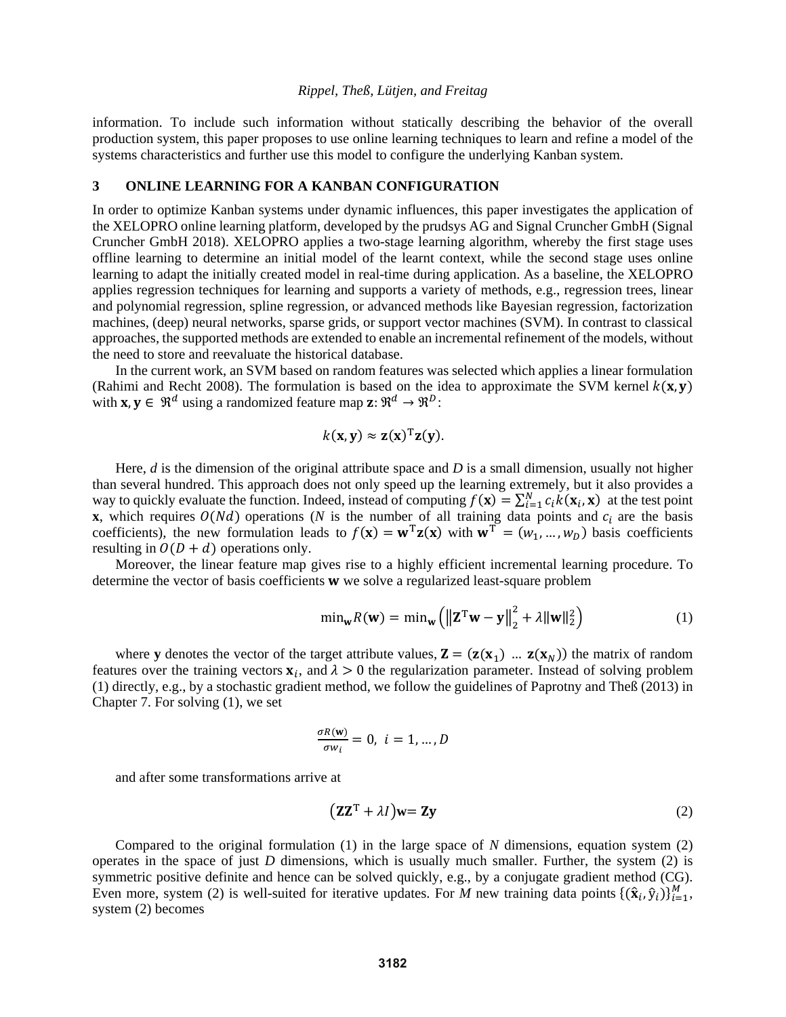information. To include such information without statically describing the behavior of the overall production system, this paper proposes to use online learning techniques to learn and refine a model of the systems characteristics and further use this model to configure the underlying Kanban system.

# **3 ONLINE LEARNING FOR A KANBAN CONFIGURATION**

In order to optimize Kanban systems under dynamic influences, this paper investigates the application of the XELOPRO online learning platform, developed by the prudsys AG and Signal Cruncher GmbH (Signal Cruncher GmbH 2018). XELOPRO applies a two-stage learning algorithm, whereby the first stage uses offline learning to determine an initial model of the learnt context, while the second stage uses online learning to adapt the initially created model in real-time during application. As a baseline, the XELOPRO applies regression techniques for learning and supports a variety of methods, e.g., regression trees, linear and polynomial regression, spline regression, or advanced methods like Bayesian regression, factorization machines, (deep) neural networks, sparse grids, or support vector machines (SVM). In contrast to classical approaches, the supported methods are extended to enable an incremental refinement of the models, without the need to store and reevaluate the historical database.

In the current work, an SVM based on random features was selected which applies a linear formulation (Rahimi and Recht 2008). The formulation is based on the idea to approximate the SVM kernel  $k(x, y)$ with  $\mathbf{x}, \mathbf{y} \in \mathbb{R}^d$  using a randomized feature map  $\mathbf{z}: \mathbb{R}^d \to \mathbb{R}^D$ :

$$
k(\mathbf{x}, \mathbf{y}) \approx \mathbf{z}(\mathbf{x})^{\mathrm{T}} \mathbf{z}(\mathbf{y}).
$$

Here, *d* is the dimension of the original attribute space and *D* is a small dimension, usually not higher than several hundred. This approach does not only speed up the learning extremely, but it also provides a way to quickly evaluate the function. Indeed, instead of computing  $f(\mathbf{x}) = \sum_{i=1}^{N} c_i k(\mathbf{x}_i, \mathbf{x})$  at the test point **x**, which requires  $O(Nd)$  operations (*N* is the number of all training data points and  $c_i$  are the basis coefficients), the new formulation leads to  $f(\mathbf{x}) = \mathbf{w}^T \mathbf{z}(\mathbf{x})$  with  $\mathbf{w}^T = (w_1, ..., w_D)$  basis coefficients resulting in  $O(D + d)$  operations only.

Moreover, the linear feature map gives rise to a highly efficient incremental learning procedure. To determine the vector of basis coefficients  $w$  we solve a regularized least-square problem

$$
\min_{\mathbf{w}} R(\mathbf{w}) = \min_{\mathbf{w}} \left( \left\| \mathbf{Z}^{\mathrm{T}} \mathbf{w} - \mathbf{y} \right\|_{2}^{2} + \lambda \|\mathbf{w}\|_{2}^{2} \right)
$$
(1)

where **y** denotes the vector of the target attribute values,  $\mathbf{Z} = (\mathbf{z}(\mathbf{x}_1) \dots \mathbf{z}(\mathbf{x}_N))$  the matrix of random features over the training vectors  $x_i$ , and  $\lambda > 0$  the regularization parameter. Instead of solving problem (1) directly, e.g., by a stochastic gradient method, we follow the guidelines of Paprotny and Theß (2013) in Chapter 7. For solving (1), we set

$$
\frac{\sigma R(\mathbf{w})}{\sigma w_i} = 0, \ i = 1, \dots, D
$$

and after some transformations arrive at

$$
(\mathbf{Z}\mathbf{Z}^{\mathrm{T}} + \lambda I)\mathbf{w} = \mathbf{Z}\mathbf{y}
$$
 (2)

Compared to the original formulation (1) in the large space of *N* dimensions, equation system (2) operates in the space of just *D* dimensions, which is usually much smaller. Further, the system (2) is symmetric positive definite and hence can be solved quickly, e.g., by a conjugate gradient method (CG). Even more, system (2) is well-suited for iterative updates. For *M* new training data points  $\{(\hat{\mathbf{x}}_i, \hat{\mathbf{y}}_i)\}_{i=1}^M$ , system (2) becomes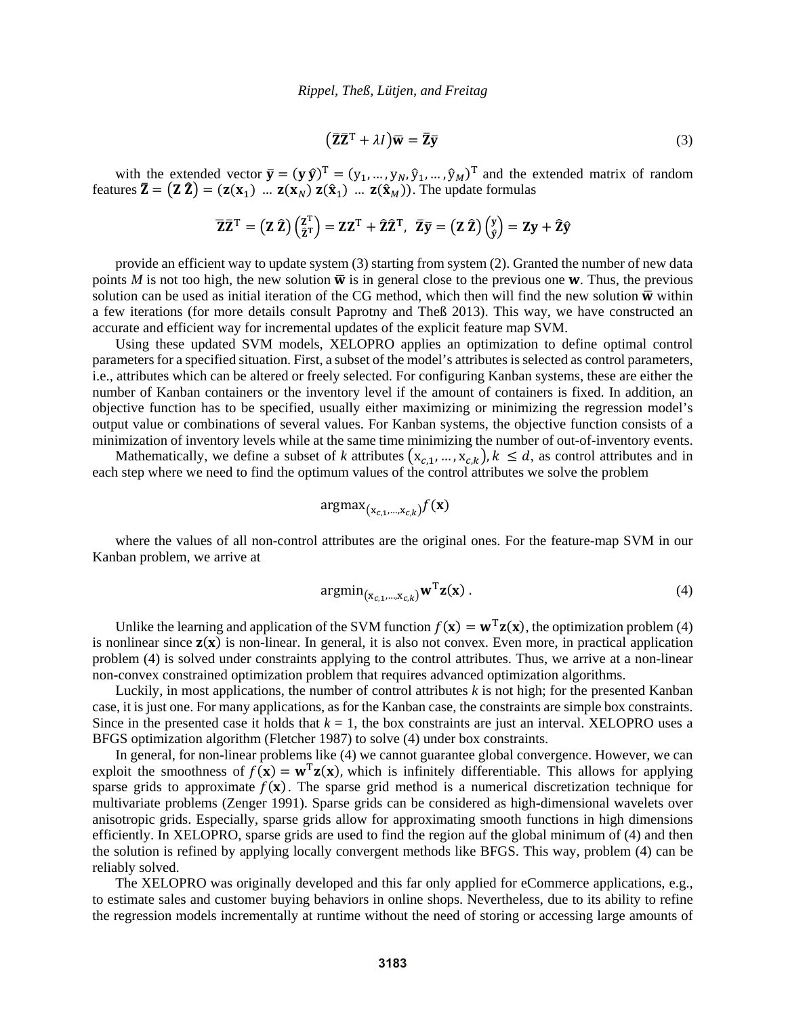$$
(\bar{\mathbf{Z}}\bar{\mathbf{Z}}^{\mathrm{T}} + \lambda I)\bar{\mathbf{w}} = \bar{\mathbf{Z}}\bar{\mathbf{y}} \tag{3}
$$

with the extended vector  $\bar{y} = (y \hat{y})^T = (y_1, ..., y_N, \hat{y}_1, ..., \hat{y}_M)^T$  and the extended matrix of random features  $\bar{Z} = (Z \hat{Z}) = (z(x_1) \dots z(x_N) z(\hat{x}_1) \dots z(\hat{x}_M))$ . The update formulas

$$
\overline{\mathbf{Z}}\overline{\mathbf{Z}}^{\mathrm{T}} = (\mathbf{Z}\,\hat{\mathbf{Z}})\begin{pmatrix} \mathbf{Z}^{\mathrm{T}} \\ \hat{\mathbf{Z}}^{\mathrm{T}} \end{pmatrix} = \mathbf{Z}\mathbf{Z}^{\mathrm{T}} + \hat{\mathbf{Z}}\hat{\mathbf{Z}}^{\mathrm{T}}, \ \ \overline{\mathbf{Z}}\overline{\mathbf{y}} = (\mathbf{Z}\,\hat{\mathbf{Z}})\begin{pmatrix} \mathbf{y} \\ \hat{\mathbf{y}} \end{pmatrix} = \mathbf{Z}\mathbf{y} + \hat{\mathbf{Z}}\hat{\mathbf{y}}
$$

provide an efficient way to update system (3) starting from system (2). Granted the number of new data points *M* is not too high, the new solution  $\overline{w}$  is in general close to the previous one **w**. Thus, the previous solution can be used as initial iteration of the CG method, which then will find the new solution  $\overline{w}$  within a few iterations (for more details consult Paprotny and Theß 2013). This way, we have constructed an accurate and efficient way for incremental updates of the explicit feature map SVM.

Using these updated SVM models, XELOPRO applies an optimization to define optimal control parameters for a specified situation. First, a subset of the model's attributes is selected as control parameters, i.e., attributes which can be altered or freely selected. For configuring Kanban systems, these are either the number of Kanban containers or the inventory level if the amount of containers is fixed. In addition, an objective function has to be specified, usually either maximizing or minimizing the regression model's output value or combinations of several values. For Kanban systems, the objective function consists of a minimization of inventory levels while at the same time minimizing the number of out-of-inventory events.

Mathematically, we define a subset of *k* attributes  $(x_{c,1},...,x_{c,k})$ ,  $k \le d$ , as control attributes and in each step where we need to find the optimum values of the control attributes we solve the problem

$$
\text{argmax}_{(\mathbf{x}_{c,1},...,\mathbf{x}_{c,k})} f(\mathbf{x})
$$

where the values of all non-control attributes are the original ones. For the feature-map SVM in our Kanban problem, we arrive at

$$
\operatorname{argmin}_{(\mathbf{x}_{c,1},\ldots,\mathbf{x}_{c,k})} \mathbf{w}^{\mathrm{T}} \mathbf{z}(\mathbf{x})\,. \tag{4}
$$

Unlike the learning and application of the SVM function  $f(\mathbf{x}) = \mathbf{w}^T \mathbf{z}(\mathbf{x})$ , the optimization problem (4) is nonlinear since  $z(x)$  is non-linear. In general, it is also not convex. Even more, in practical application problem (4) is solved under constraints applying to the control attributes. Thus, we arrive at a non-linear non-convex constrained optimization problem that requires advanced optimization algorithms.

Luckily, in most applications, the number of control attributes *k* is not high; for the presented Kanban case, it is just one. For many applications, as for the Kanban case, the constraints are simple box constraints. Since in the presented case it holds that  $k = 1$ , the box constraints are just an interval. XELOPRO uses a BFGS optimization algorithm (Fletcher 1987) to solve (4) under box constraints.

In general, for non-linear problems like (4) we cannot guarantee global convergence. However, we can exploit the smoothness of  $f(\mathbf{x}) = \mathbf{w}^T \mathbf{z}(\mathbf{x})$ , which is infinitely differentiable. This allows for applying sparse grids to approximate  $f(x)$ . The sparse grid method is a numerical discretization technique for multivariate problems (Zenger 1991). Sparse grids can be considered as high-dimensional wavelets over anisotropic grids. Especially, sparse grids allow for approximating smooth functions in high dimensions efficiently. In XELOPRO, sparse grids are used to find the region auf the global minimum of (4) and then the solution is refined by applying locally convergent methods like BFGS. This way, problem (4) can be reliably solved.

The XELOPRO was originally developed and this far only applied for eCommerce applications, e.g., to estimate sales and customer buying behaviors in online shops. Nevertheless, due to its ability to refine the regression models incrementally at runtime without the need of storing or accessing large amounts of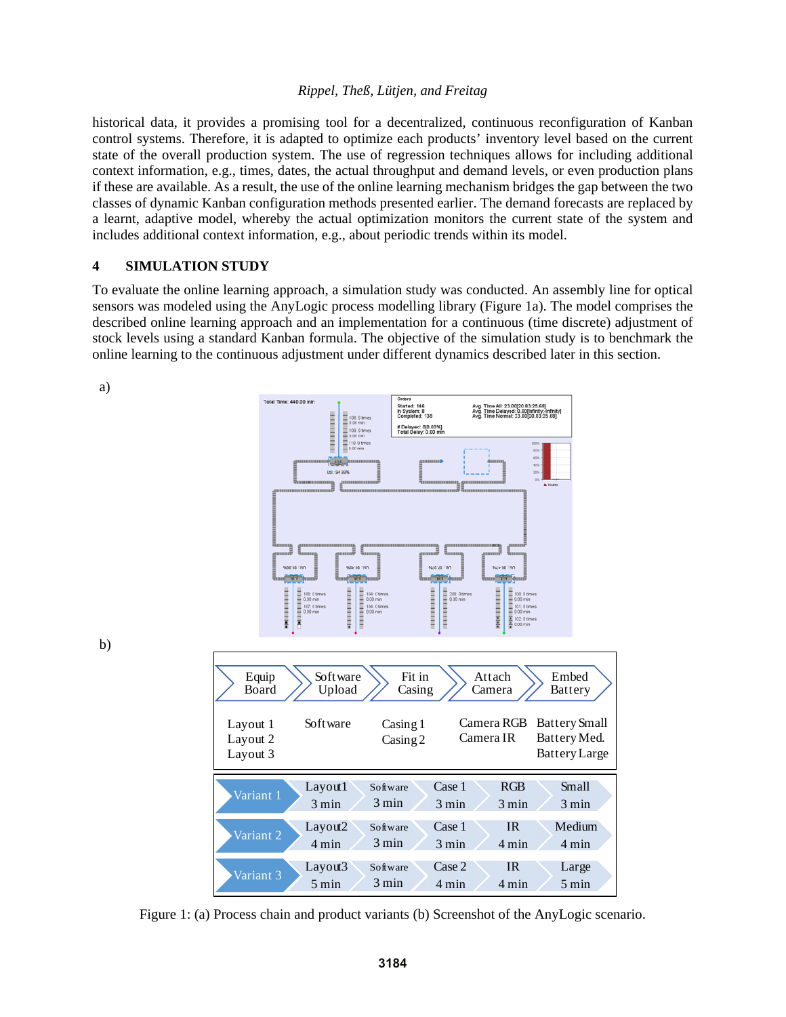historical data, it provides a promising tool for a decentralized, continuous reconfiguration of Kanban control systems. Therefore, it is adapted to optimize each products' inventory level based on the current state of the overall production system. The use of regression techniques allows for including additional context information, e.g., times, dates, the actual throughput and demand levels, or even production plans if these are available. As a result, the use of the online learning mechanism bridges the gap between the two classes of dynamic Kanban configuration methods presented earlier. The demand forecasts are replaced by a learnt, adaptive model, whereby the actual optimization monitors the current state of the system and includes additional context information, e.g., about periodic trends within its model.

### **4 SIMULATION STUDY**

To evaluate the online learning approach, a simulation study was conducted. An assembly line for optical sensors was modeled using the AnyLogic process modelling library (Figure 1a). The model comprises the described online learning approach and an implementation for a continuous (time discrete) adjustment of stock levels using a standard Kanban formula. The objective of the simulation study is to benchmark the online learning to the continuous adjustment under different dynamics described later in this section.



Figure 1: (a) Process chain and product variants (b) Screenshot of the AnyLogic scenario.

b)

a)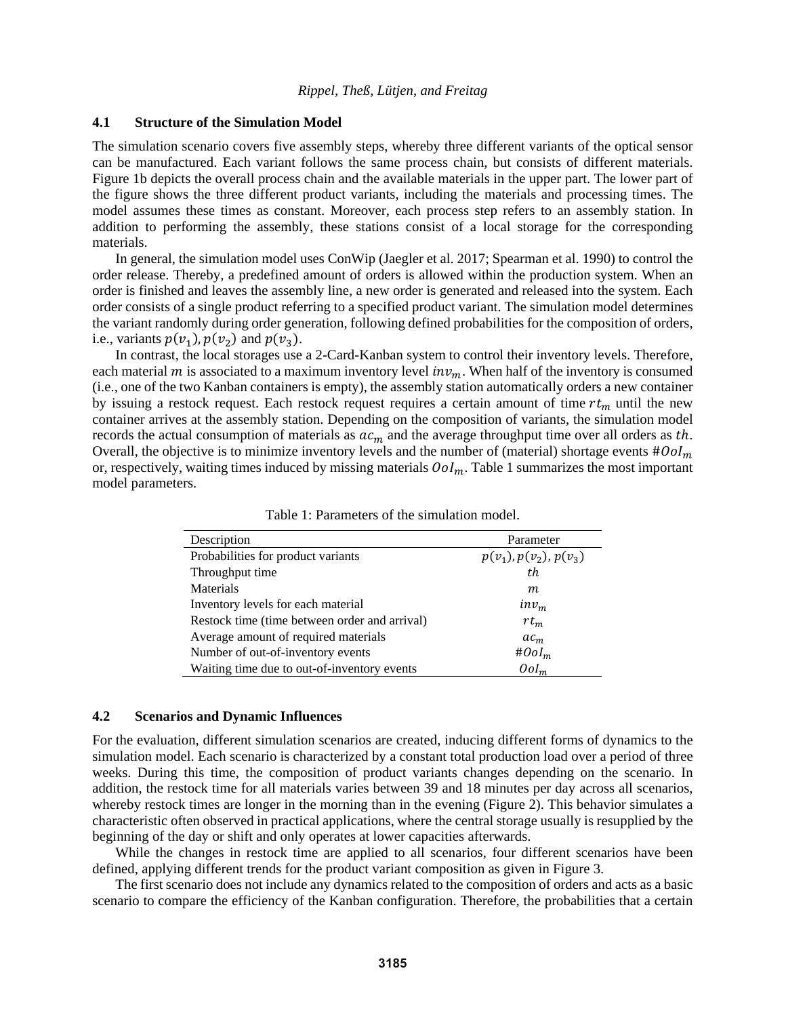# **4.1 Structure of the Simulation Model**

The simulation scenario covers five assembly steps, whereby three different variants of the optical sensor can be manufactured. Each variant follows the same process chain, but consists of different materials. Figure 1b depicts the overall process chain and the available materials in the upper part. The lower part of the figure shows the three different product variants, including the materials and processing times. The model assumes these times as constant. Moreover, each process step refers to an assembly station. In addition to performing the assembly, these stations consist of a local storage for the corresponding materials.

In general, the simulation model uses ConWip (Jaegler et al. 2017; Spearman et al. 1990) to control the order release. Thereby, a predefined amount of orders is allowed within the production system. When an order is finished and leaves the assembly line, a new order is generated and released into the system. Each order consists of a single product referring to a specified product variant. The simulation model determines the variant randomly during order generation, following defined probabilities for the composition of orders, i.e., variants  $p(v_1)$ ,  $p(v_2)$  and  $p(v_3)$ .

In contrast, the local storages use a 2-Card-Kanban system to control their inventory levels. Therefore, each material  $m$  is associated to a maximum inventory level  $inv_m$ . When half of the inventory is consumed (i.e., one of the two Kanban containers is empty), the assembly station automatically orders a new container by issuing a restock request. Each restock request requires a certain amount of time  $rt_m$  until the new container arrives at the assembly station. Depending on the composition of variants, the simulation model records the actual consumption of materials as  $ac<sub>m</sub>$  and the average throughput time over all orders as th. Overall, the objective is to minimize inventory levels and the number of (material) shortage events  $\#0ol_m$ or, respectively, waiting times induced by missing materials  $\delta$   $ol$ <sub>m</sub>. Table 1 summarizes the most important model parameters.

| Description                                   | Parameter                      |
|-----------------------------------------------|--------------------------------|
| Probabilities for product variants            | $p(v_1)$ , $p(v_2)$ , $p(v_3)$ |
| Throughput time                               | th                             |
| Materials                                     | m                              |
| Inventory levels for each material            | $inv_m$                        |
| Restock time (time between order and arrival) | $rt_m$                         |
| Average amount of required materials          | $ac_m$                         |
| Number of out-of-inventory events             | # $0$ ol <sub>m</sub>          |
| Waiting time due to out-of-inventory events   | $0$ o $I_m$                    |

Table 1: Parameters of the simulation model.

# **4.2 Scenarios and Dynamic Influences**

For the evaluation, different simulation scenarios are created, inducing different forms of dynamics to the simulation model. Each scenario is characterized by a constant total production load over a period of three weeks. During this time, the composition of product variants changes depending on the scenario. In addition, the restock time for all materials varies between 39 and 18 minutes per day across all scenarios, whereby restock times are longer in the morning than in the evening (Figure 2). This behavior simulates a characteristic often observed in practical applications, where the central storage usually is resupplied by the beginning of the day or shift and only operates at lower capacities afterwards.

While the changes in restock time are applied to all scenarios, four different scenarios have been defined, applying different trends for the product variant composition as given in Figure 3.

The first scenario does not include any dynamics related to the composition of orders and acts as a basic scenario to compare the efficiency of the Kanban configuration. Therefore, the probabilities that a certain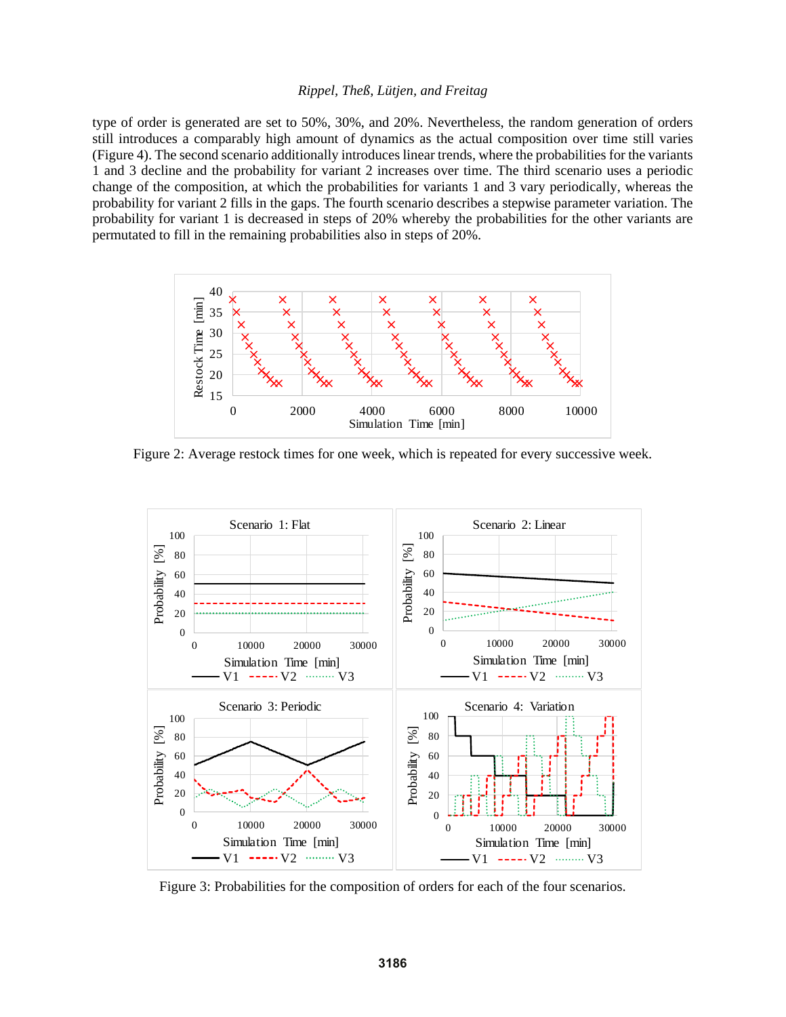type of order is generated are set to 50%, 30%, and 20%. Nevertheless, the random generation of orders still introduces a comparably high amount of dynamics as the actual composition over time still varies (Figure 4). The second scenario additionally introduces linear trends, where the probabilities for the variants 1 and 3 decline and the probability for variant 2 increases over time. The third scenario uses a periodic change of the composition, at which the probabilities for variants 1 and 3 vary periodically, whereas the probability for variant 2 fills in the gaps. The fourth scenario describes a stepwise parameter variation. The probability for variant 1 is decreased in steps of 20% whereby the probabilities for the other variants are permutated to fill in the remaining probabilities also in steps of 20%.



Figure 2: Average restock times for one week, which is repeated for every successive week.



Figure 3: Probabilities for the composition of orders for each of the four scenarios.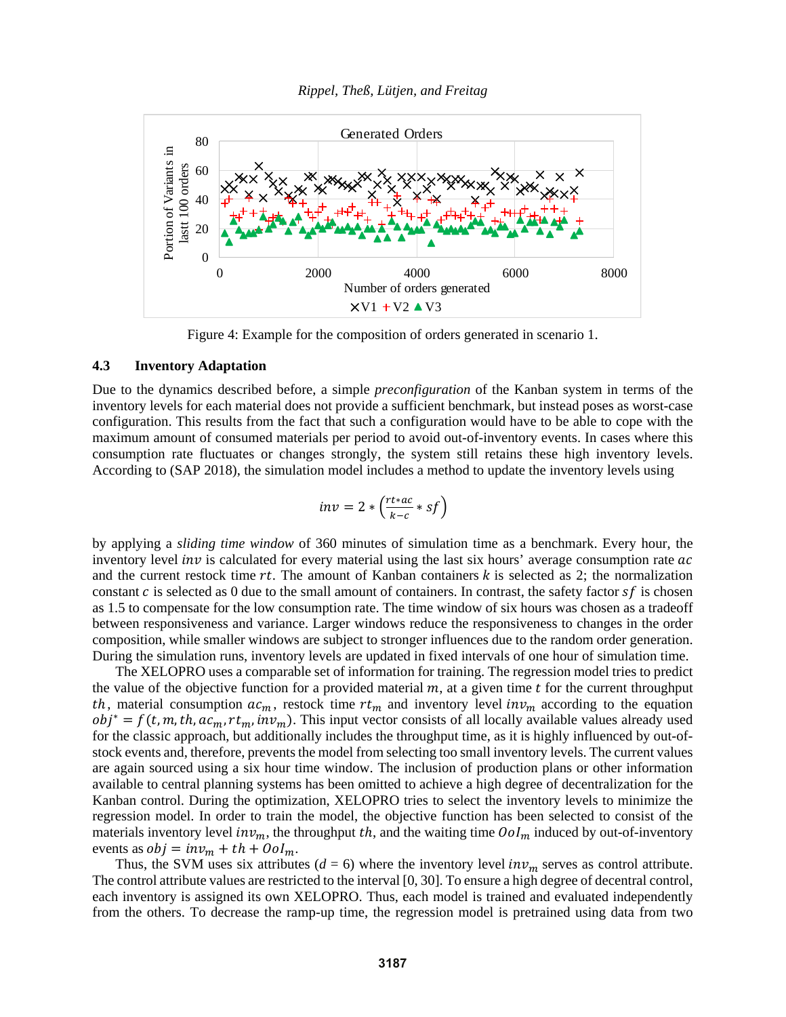



Figure 4: Example for the composition of orders generated in scenario 1.

# **4.3 Inventory Adaptation**

Due to the dynamics described before, a simple *preconfiguration* of the Kanban system in terms of the inventory levels for each material does not provide a sufficient benchmark, but instead poses as worst-case configuration. This results from the fact that such a configuration would have to be able to cope with the maximum amount of consumed materials per period to avoid out-of-inventory events. In cases where this consumption rate fluctuates or changes strongly, the system still retains these high inventory levels. According to (SAP 2018), the simulation model includes a method to update the inventory levels using

$$
inv = 2 * \left(\frac{rt * ac}{k - c} * sf\right)
$$

by applying a *sliding time window* of 360 minutes of simulation time as a benchmark. Every hour, the inventory level *inv* is calculated for every material using the last six hours' average consumption rate  $ac$ and the current restock time  $rt$ . The amount of Kanban containers  $k$  is selected as 2; the normalization constant  $c$  is selected as 0 due to the small amount of containers. In contrast, the safety factor  $sf$  is chosen as 1.5 to compensate for the low consumption rate. The time window of six hours was chosen as a tradeoff between responsiveness and variance. Larger windows reduce the responsiveness to changes in the order composition, while smaller windows are subject to stronger influences due to the random order generation. During the simulation runs, inventory levels are updated in fixed intervals of one hour of simulation time.

The XELOPRO uses a comparable set of information for training. The regression model tries to predict the value of the objective function for a provided material  $m$ , at a given time  $t$  for the current throughput th, material consumption  $ac_m$ , restock time  $rt_m$  and inventory level  $inv_m$  according to the equation  $obj^* = f(t, m, th, ac_m, rt_m, inv_m)$ . This input vector consists of all locally available values already used for the classic approach, but additionally includes the throughput time, as it is highly influenced by out-ofstock events and, therefore, prevents the model from selecting too small inventory levels. The current values are again sourced using a six hour time window. The inclusion of production plans or other information available to central planning systems has been omitted to achieve a high degree of decentralization for the Kanban control. During the optimization, XELOPRO tries to select the inventory levels to minimize the regression model. In order to train the model, the objective function has been selected to consist of the materials inventory level  $inv_m$ , the throughput th, and the waiting time  $\delta$ ol<sub>m</sub> induced by out-of-inventory events as  $obj = inv_m + th + Ool_m$ .

Thus, the SVM uses six attributes ( $d = 6$ ) where the inventory level  $inv_m$  serves as control attribute. The control attribute values are restricted to the interval [0, 30]. To ensure a high degree of decentral control, each inventory is assigned its own XELOPRO. Thus, each model is trained and evaluated independently from the others. To decrease the ramp-up time, the regression model is pretrained using data from two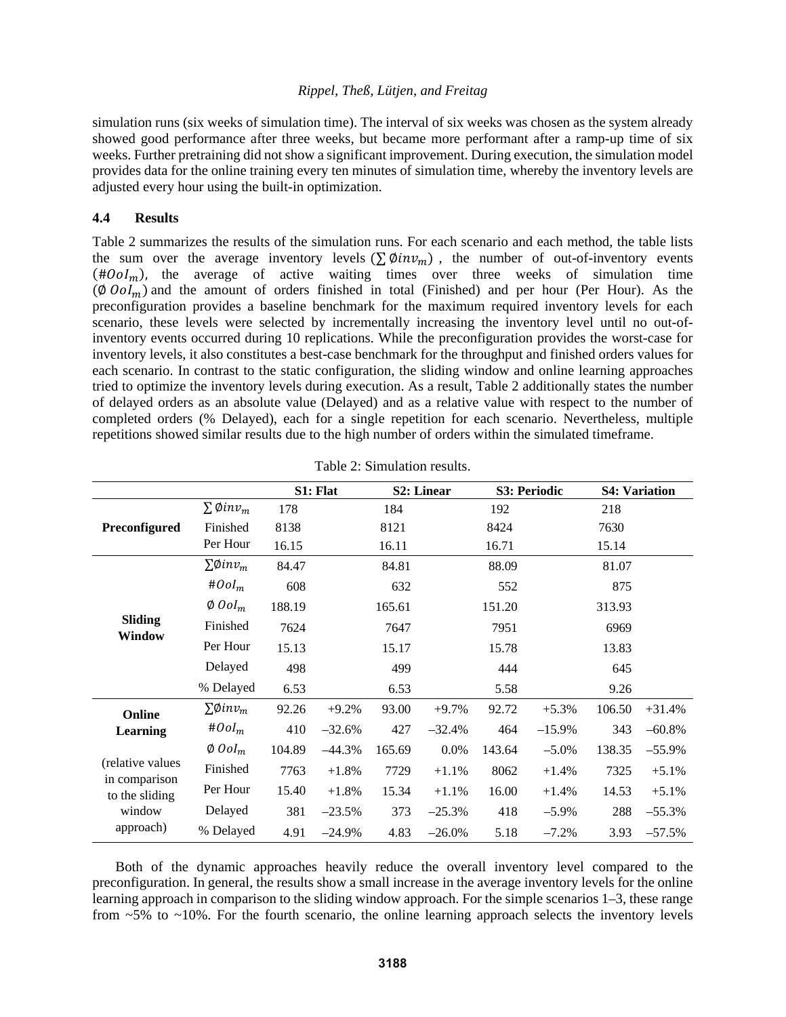simulation runs (six weeks of simulation time). The interval of six weeks was chosen as the system already showed good performance after three weeks, but became more performant after a ramp-up time of six weeks. Further pretraining did not show a significant improvement. During execution, the simulation model provides data for the online training every ten minutes of simulation time, whereby the inventory levels are adjusted every hour using the built-in optimization.

# **4.4 Results**

Table 2 summarizes the results of the simulation runs. For each scenario and each method, the table lists the sum over the average inventory levels  $(\sum \emptyset in v_m)$ , the number of out-of-inventory events  $(\text{\#} O \text{ol}_m)$ , the average of active waiting times over three weeks of simulation time  $(\emptyset$   $\partial$   $\partial$   $I_m$ ) and the amount of orders finished in total (Finished) and per hour (Per Hour). As the preconfiguration provides a baseline benchmark for the maximum required inventory levels for each scenario, these levels were selected by incrementally increasing the inventory level until no out-ofinventory events occurred during 10 replications. While the preconfiguration provides the worst-case for inventory levels, it also constitutes a best-case benchmark for the throughput and finished orders values for each scenario. In contrast to the static configuration, the sliding window and online learning approaches tried to optimize the inventory levels during execution. As a result, Table 2 additionally states the number of delayed orders as an absolute value (Delayed) and as a relative value with respect to the number of completed orders (% Delayed), each for a single repetition for each scenario. Nevertheless, multiple repetitions showed similar results due to the high number of orders within the simulated timeframe.

|                                                                            |                                     | S1: Flat |          | S2: Linear |           | S3: Periodic |          | <b>S4: Variation</b> |          |
|----------------------------------------------------------------------------|-------------------------------------|----------|----------|------------|-----------|--------------|----------|----------------------|----------|
| Preconfigured                                                              | $\sum$ Øin $v_m$                    | 178      |          | 184        |           | 192          |          | 218                  |          |
|                                                                            | Finished                            | 8138     |          | 8121       |           | 8424         |          | 7630                 |          |
|                                                                            | Per Hour                            | 16.15    |          | 16.11      |           | 16.71        |          | 15.14                |          |
| <b>Sliding</b><br>Window                                                   | $\Sigma\emptyset$ inv <sub>m</sub>  | 84.47    |          | 84.81      |           | 88.09        |          | 81.07                |          |
|                                                                            | $#Ool_m$                            | 608      |          | 632        |           | 552          |          | 875                  |          |
|                                                                            | $\emptyset$ Ool <sub>m</sub>        | 188.19   |          | 165.61     |           | 151.20       |          | 313.93               |          |
|                                                                            | Finished                            | 7624     |          | 7647       |           | 7951         |          | 6969                 |          |
|                                                                            | Per Hour                            | 15.13    |          | 15.17      |           | 15.78        |          | 13.83                |          |
|                                                                            | Delayed                             | 498      |          | 499        |           | 444          |          | 645                  |          |
|                                                                            | % Delayed                           | 6.53     |          | 6.53       |           | 5.58         |          | 9.26                 |          |
| Online<br><b>Learning</b>                                                  | $\Sigma \emptyset$ inv <sub>m</sub> | 92.26    | $+9.2%$  | 93.00      | $+9.7%$   | 92.72        | $+5.3%$  | 106.50               | $+31.4%$ |
|                                                                            | $#Ool_m$                            | 410      | $-32.6%$ | 427        | $-32.4%$  | 464          | $-15.9%$ | 343                  | $-60.8%$ |
| (relative values<br>in comparison<br>to the sliding<br>window<br>approach) | $\emptyset$ Ool <sub>m</sub>        | 104.89   | $-44.3%$ | 165.69     | 0.0%      | 143.64       | $-5.0\%$ | 138.35               | $-55.9%$ |
|                                                                            | Finished                            | 7763     | $+1.8%$  | 7729       | $+1.1%$   | 8062         | $+1.4%$  | 7325                 | $+5.1%$  |
|                                                                            | Per Hour                            | 15.40    | $+1.8%$  | 15.34      | $+1.1%$   | 16.00        | $+1.4%$  | 14.53                | $+5.1%$  |
|                                                                            | Delayed                             | 381      | $-23.5%$ | 373        | $-25.3%$  | 418          | $-5.9\%$ | 288                  | $-55.3%$ |
|                                                                            | % Delayed                           | 4.91     | $-24.9%$ | 4.83       | $-26.0\%$ | 5.18         | $-7.2%$  | 3.93                 | $-57.5%$ |

|  | Table 2: Simulation results. |  |
|--|------------------------------|--|
|--|------------------------------|--|

Both of the dynamic approaches heavily reduce the overall inventory level compared to the preconfiguration. In general, the results show a small increase in the average inventory levels for the online learning approach in comparison to the sliding window approach. For the simple scenarios 1–3, these range from  $\sim$ 5% to  $\sim$ 10%. For the fourth scenario, the online learning approach selects the inventory levels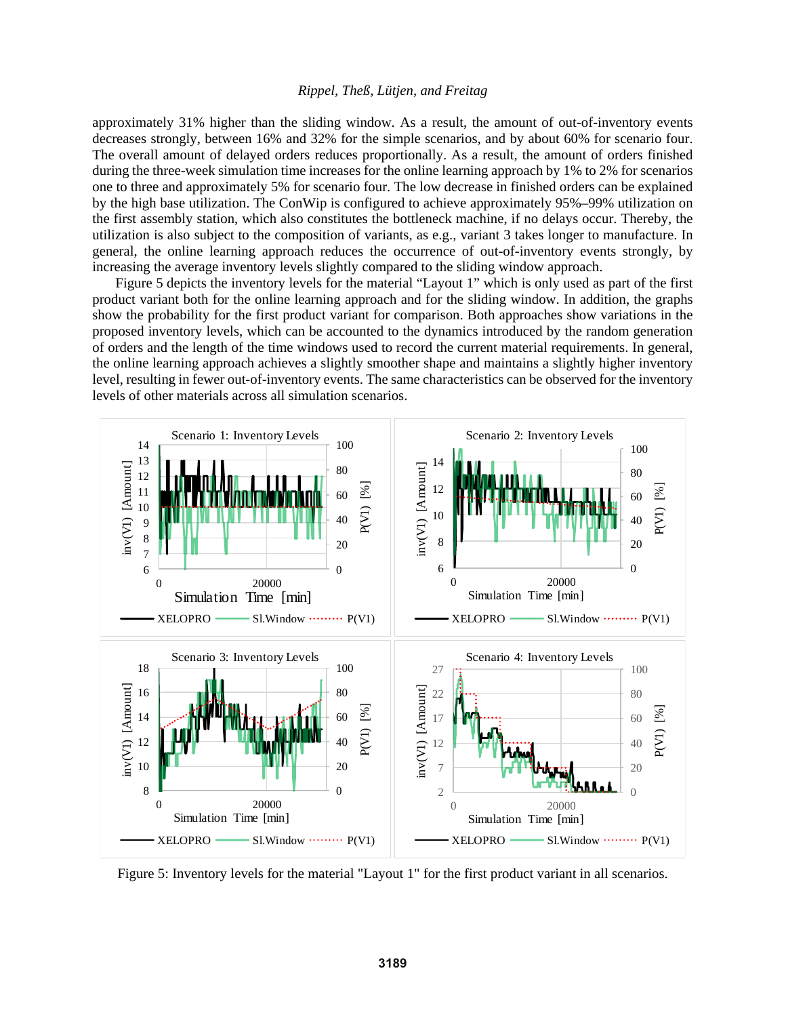approximately 31% higher than the sliding window. As a result, the amount of out-of-inventory events decreases strongly, between 16% and 32% for the simple scenarios, and by about 60% for scenario four. The overall amount of delayed orders reduces proportionally. As a result, the amount of orders finished during the three-week simulation time increases for the online learning approach by 1% to 2% for scenarios one to three and approximately 5% for scenario four. The low decrease in finished orders can be explained by the high base utilization. The ConWip is configured to achieve approximately 95%–99% utilization on the first assembly station, which also constitutes the bottleneck machine, if no delays occur. Thereby, the utilization is also subject to the composition of variants, as e.g., variant 3 takes longer to manufacture. In general, the online learning approach reduces the occurrence of out-of-inventory events strongly, by increasing the average inventory levels slightly compared to the sliding window approach.

Figure 5 depicts the inventory levels for the material "Layout 1" which is only used as part of the first product variant both for the online learning approach and for the sliding window. In addition, the graphs show the probability for the first product variant for comparison. Both approaches show variations in the proposed inventory levels, which can be accounted to the dynamics introduced by the random generation of orders and the length of the time windows used to record the current material requirements. In general, the online learning approach achieves a slightly smoother shape and maintains a slightly higher inventory level, resulting in fewer out-of-inventory events. The same characteristics can be observed for the inventory levels of other materials across all simulation scenarios.



Figure 5: Inventory levels for the material "Layout 1" for the first product variant in all scenarios.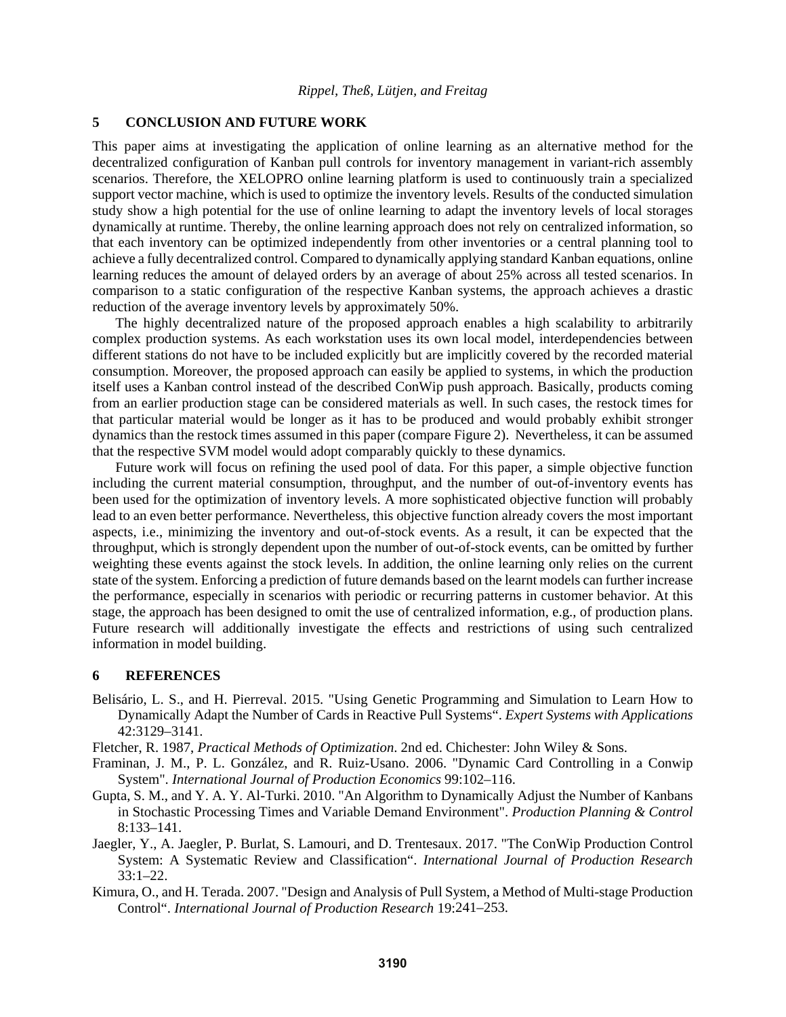## **5 CONCLUSION AND FUTURE WORK**

This paper aims at investigating the application of online learning as an alternative method for the decentralized configuration of Kanban pull controls for inventory management in variant-rich assembly scenarios. Therefore, the XELOPRO online learning platform is used to continuously train a specialized support vector machine, which is used to optimize the inventory levels. Results of the conducted simulation study show a high potential for the use of online learning to adapt the inventory levels of local storages dynamically at runtime. Thereby, the online learning approach does not rely on centralized information, so that each inventory can be optimized independently from other inventories or a central planning tool to achieve a fully decentralized control. Compared to dynamically applying standard Kanban equations, online learning reduces the amount of delayed orders by an average of about 25% across all tested scenarios. In comparison to a static configuration of the respective Kanban systems, the approach achieves a drastic reduction of the average inventory levels by approximately 50%.

The highly decentralized nature of the proposed approach enables a high scalability to arbitrarily complex production systems. As each workstation uses its own local model, interdependencies between different stations do not have to be included explicitly but are implicitly covered by the recorded material consumption. Moreover, the proposed approach can easily be applied to systems, in which the production itself uses a Kanban control instead of the described ConWip push approach. Basically, products coming from an earlier production stage can be considered materials as well. In such cases, the restock times for that particular material would be longer as it has to be produced and would probably exhibit stronger dynamics than the restock times assumed in this paper (compare Figure 2). Nevertheless, it can be assumed that the respective SVM model would adopt comparably quickly to these dynamics.

Future work will focus on refining the used pool of data. For this paper, a simple objective function including the current material consumption, throughput, and the number of out-of-inventory events has been used for the optimization of inventory levels. A more sophisticated objective function will probably lead to an even better performance. Nevertheless, this objective function already covers the most important aspects, i.e., minimizing the inventory and out-of-stock events. As a result, it can be expected that the throughput, which is strongly dependent upon the number of out-of-stock events, can be omitted by further weighting these events against the stock levels. In addition, the online learning only relies on the current state of the system. Enforcing a prediction of future demands based on the learnt models can further increase the performance, especially in scenarios with periodic or recurring patterns in customer behavior. At this stage, the approach has been designed to omit the use of centralized information, e.g., of production plans. Future research will additionally investigate the effects and restrictions of using such centralized information in model building.

#### **6 REFERENCES**

- Belisário, L. S., and H. Pierreval. 2015. "Using Genetic Programming and Simulation to Learn How to Dynamically Adapt the Number of Cards in Reactive Pull Systems". *Expert Systems with Applications* 42:3129–3141.
- Fletcher, R. 1987, *Practical Methods of Optimization*. 2nd ed. Chichester: John Wiley & Sons.
- Framinan, J. M., P. L. González, and R. Ruiz-Usano. 2006. "Dynamic Card Controlling in a Conwip System". *International Journal of Production Economics* 99:102–116.
- Gupta, S. M., and Y. A. Y. Al-Turki. 2010. "An Algorithm to Dynamically Adjust the Number of Kanbans in Stochastic Processing Times and Variable Demand Environment". *Production Planning & Control* 8:133–141.
- Jaegler, Y., A. Jaegler, P. Burlat, S. Lamouri, and D. Trentesaux. 2017. "The ConWip Production Control System: A Systematic Review and Classification". *International Journal of Production Research*  $33:1-22.$
- Kimura, O., and H. Terada. 2007. "Design and Analysis of Pull System, a Method of Multi-stage Production Control". *International Journal of Production Research* 19:241–253.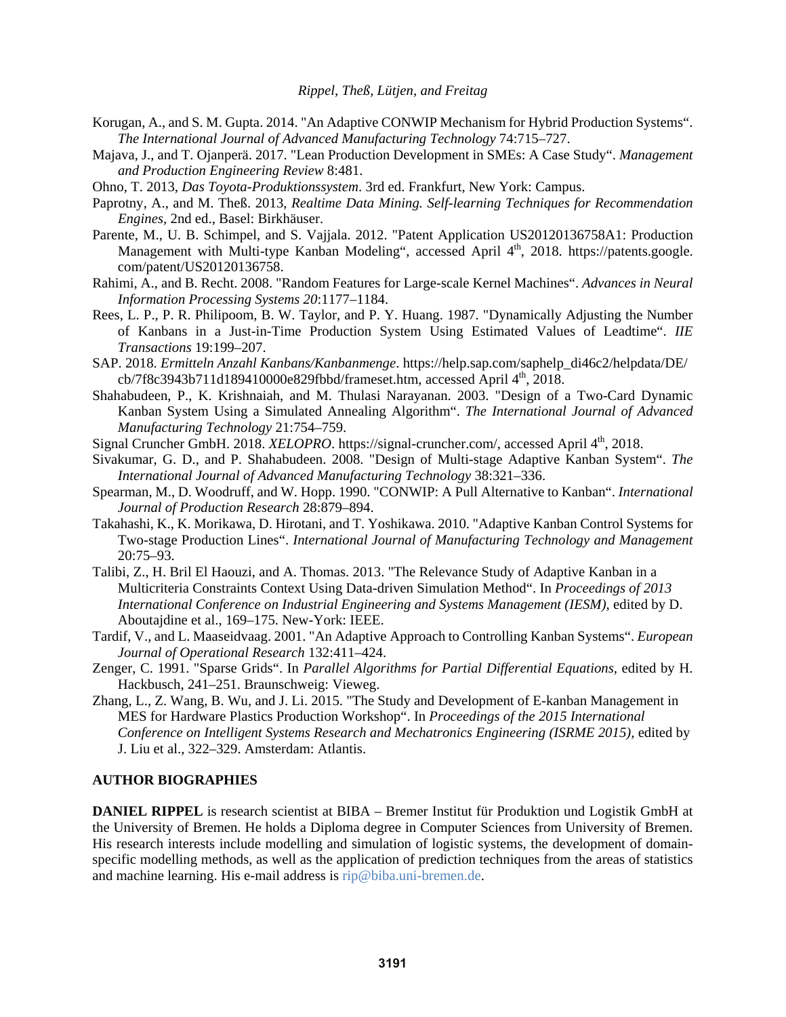- Korugan, A., and S. M. Gupta. 2014. "An Adaptive CONWIP Mechanism for Hybrid Production Systems". *The International Journal of Advanced Manufacturing Technology* 74:715–727.
- Majava, J., and T. Ojanperä. 2017. "Lean Production Development in SMEs: A Case Study". *Management and Production Engineering Review* 8:481.
- Ohno, T. 2013, *Das Toyota-Produktionssystem*. 3rd ed. Frankfurt, New York: Campus.
- Paprotny, A., and M. Theß. 2013, *Realtime Data Mining. Self-learning Techniques for Recommendation Engines,* 2nd ed., Basel: Birkhäuser.
- Parente, M., U. B. Schimpel, and S. Vajjala. 2012. "Patent Application US20120136758A1: Production Management with Multi-type Kanban Modeling", accessed April 4<sup>th</sup>, 2018. https://patents.google. com/patent/US20120136758.
- Rahimi, A., and B. Recht. 2008. "Random Features for Large-scale Kernel Machines". *Advances in Neural Information Processing Systems 20*:1177–1184.
- Rees, L. P., P. R. Philipoom, B. W. Taylor, and P. Y. Huang. 1987. "Dynamically Adjusting the Number of Kanbans in a Just-in-Time Production System Using Estimated Values of Leadtime". *IIE Transactions* 19:199–207.
- SAP. 2018. *Ermitteln Anzahl Kanbans/Kanbanmenge*. https://help.sap.com/saphelp\_di46c2/helpdata/DE/  $cb/7f8c3943b711d189410000e829fbbd/frameset.htm, accessed April 4<sup>th</sup>, 2018.$
- Shahabudeen, P., K. Krishnaiah, and M. Thulasi Narayanan. 2003. "Design of a Two-Card Dynamic Kanban System Using a Simulated Annealing Algorithm". *The International Journal of Advanced Manufacturing Technology* 21:754–759.
- Signal Cruncher GmbH. 2018. *XELOPRO*. https://signal-cruncher.com/, accessed April 4<sup>th</sup>, 2018.
- Sivakumar, G. D., and P. Shahabudeen. 2008. "Design of Multi-stage Adaptive Kanban System". *The International Journal of Advanced Manufacturing Technology* 38:321–336.
- Spearman, M., D. Woodruff, and W. Hopp. 1990. "CONWIP: A Pull Alternative to Kanban". *International Journal of Production Research* 28:879–894.
- Takahashi, K., K. Morikawa, D. Hirotani, and T. Yoshikawa. 2010. "Adaptive Kanban Control Systems for Two-stage Production Lines". *International Journal of Manufacturing Technology and Management* 20:75–93.
- Talibi, Z., H. Bril El Haouzi, and A. Thomas. 2013. "The Relevance Study of Adaptive Kanban in a Multicriteria Constraints Context Using Data-driven Simulation Method". In *Proceedings of 2013 International Conference on Industrial Engineering and Systems Management (IESM)*, edited by D. Aboutajdine et al., 169–175. New-York: IEEE.
- Tardif, V., and L. Maaseidvaag. 2001. "An Adaptive Approach to Controlling Kanban Systems". *European Journal of Operational Research* 132:411–424.
- Zenger, C. 1991. "Sparse Grids". In *Parallel Algorithms for Partial Differential Equations,* edited by H. Hackbusch, 241–251. Braunschweig: Vieweg.
- Zhang, L., Z. Wang, B. Wu, and J. Li. 2015. "The Study and Development of E-kanban Management in MES for Hardware Plastics Production Workshop". In *Proceedings of the 2015 International Conference on Intelligent Systems Research and Mechatronics Engineering (ISRME 2015),* edited by J. Liu et al., 322–329. Amsterdam: Atlantis.

#### **AUTHOR BIOGRAPHIES**

**DANIEL RIPPEL** is research scientist at BIBA – Bremer Institut für Produktion und Logistik GmbH at the University of Bremen. He holds a Diploma degree in Computer Sciences from University of Bremen. His research interests include modelling and simulation of logistic systems, the development of domainspecific modelling methods, as well as the application of prediction techniques from the areas of statistics and machine learning. His e-mail address is rip@biba.uni-bremen.de.